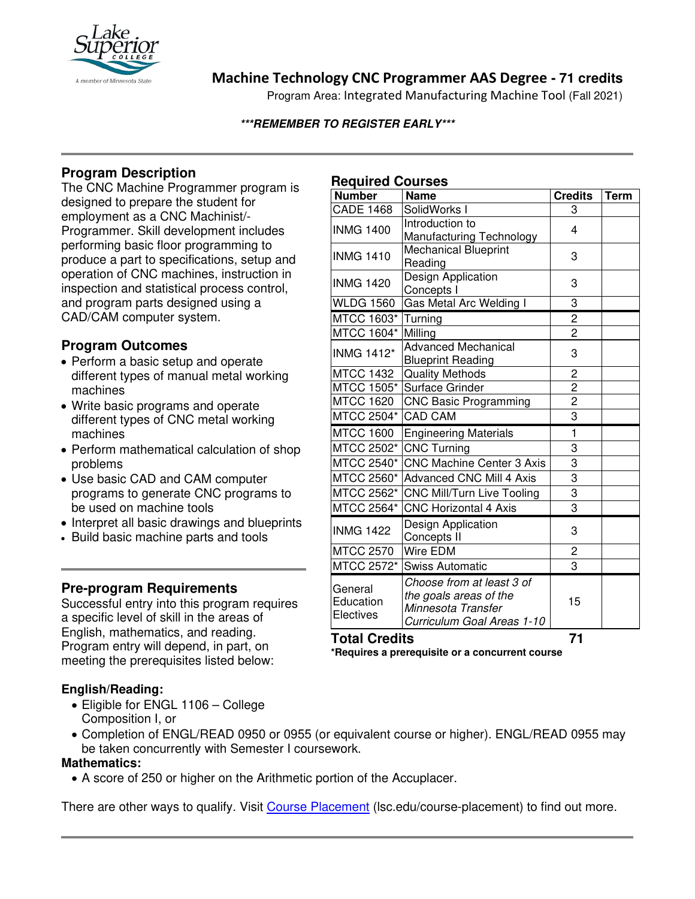

# **Machine Technology CNC Programmer AAS Degree - 71 credits**

Program Area: Integrated Manufacturing Machine Tool (Fall 2021)

#### **\*\*\*REMEMBER TO REGISTER EARLY\*\*\***

# **Program Description**

The CNC Machine Programmer program is designed to prepare the student for employment as a CNC Machinist/- Programmer. Skill development includes performing basic floor programming to produce a part to specifications, setup and operation of CNC machines, instruction in inspection and statistical process control, and program parts designed using a CAD/CAM computer system.

## **Program Outcomes**

- Perform a basic setup and operate different types of manual metal working machines
- Write basic programs and operate different types of CNC metal working machines
- Perform mathematical calculation of shop problems
- Use basic CAD and CAM computer programs to generate CNC programs to be used on machine tools
- Interpret all basic drawings and blueprints
- Build basic machine parts and tools

## **Pre-program Requirements**

Successful entry into this program requires a specific level of skill in the areas of English, mathematics, and reading. Program entry will depend, in part, on meeting the prerequisites listed below:

### **English/Reading:**

- Eligible for ENGL 1106 College Composition I, or
- Completion of ENGL/READ 0950 or 0955 (or equivalent course or higher). ENGL/READ 0955 may be taken concurrently with Semester I coursework.

#### **Mathematics:**

• A score of 250 or higher on the Arithmetic portion of the Accuplacer.

There are other ways to qualify. Visit [Course Placement](https://www.lsc.edu/course-placement/) (lsc.edu/course-placement) to find out more.

## **Required Courses**

| <b>Name</b>                                                                                             | <b>Credits</b>          | <b>Term</b>             |
|---------------------------------------------------------------------------------------------------------|-------------------------|-------------------------|
| SolidWorks I                                                                                            | 3                       |                         |
| Introduction to<br>Manufacturing Technology                                                             | 4                       |                         |
| <b>Mechanical Blueprint</b><br>Reading                                                                  | 3                       |                         |
| Design Application<br>Concepts I                                                                        | 3                       |                         |
| Gas Metal Arc Welding I                                                                                 | 3                       |                         |
| Turning                                                                                                 | $\overline{\mathbf{c}}$ |                         |
| Milling                                                                                                 | $\overline{2}$          |                         |
| <b>Advanced Mechanical</b><br><b>Blueprint Reading</b>                                                  | 3                       |                         |
| <b>Quality Methods</b>                                                                                  | $\overline{c}$          |                         |
| Surface Grinder                                                                                         |                         |                         |
| <b>CNC Basic Programming</b>                                                                            |                         |                         |
| <b>CAD CAM</b>                                                                                          |                         |                         |
| <b>Engineering Materials</b>                                                                            | $\mathbf{1}$            |                         |
| <b>CNC Turning</b>                                                                                      | 3                       |                         |
| <b>CNC Machine Center 3 Axis</b>                                                                        | 3                       |                         |
| <b>Advanced CNC Mill 4 Axis</b>                                                                         | 3                       |                         |
| CNC Mill/Turn Live Tooling                                                                              |                         |                         |
| <b>CNC Horizontal 4 Axis</b>                                                                            | 3                       |                         |
| Design Application<br>Concepts II                                                                       | 3                       |                         |
| Wire EDM                                                                                                | 2                       |                         |
| <b>Swiss Automatic</b>                                                                                  | 3                       |                         |
| Choose from at least 3 of<br>the goals areas of the<br>Minnesota Transfer<br>Curriculum Goal Areas 1-10 | 15                      |                         |
|                                                                                                         |                         | $\frac{2}{2}$<br>3<br>3 |

**Total Credits 71 \*Requires a prerequisite or a concurrent course**